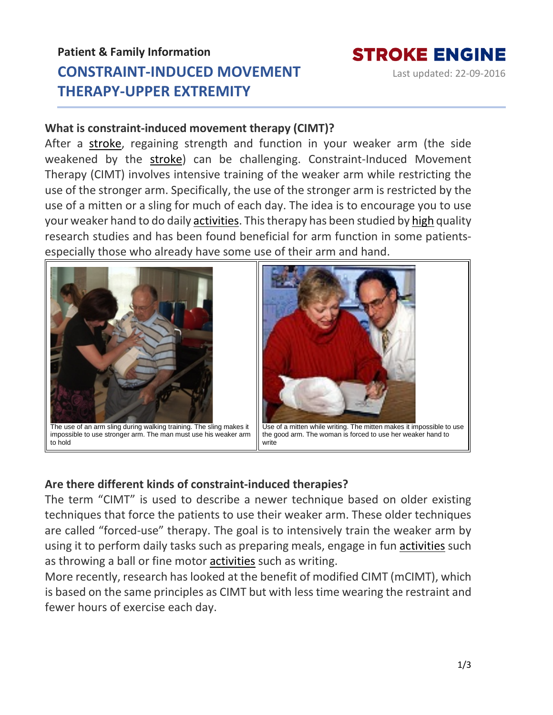# **Patient & Family Information CONSTRAINT-INDUCED MOVEMENT THERAPY-UPPER EXTREMITY**



Last updated: 22-09-2016

### **What is constraint-induced movement therapy (CIMT)?**

After a [stroke,](https://www.strokengine.ca/en/glossary/stroke/) regaining strength and function in your weaker arm (the side weakened by the [stroke\)](https://www.strokengine.ca/en/glossary/stroke/) can be challenging. Constraint-Induced Movement Therapy (CIMT) involves intensive training of the weaker arm while restricting the use of the stronger arm. Specifically, the use of the stronger arm is restricted by the use of a mitten or a sling for much of each day. The idea is to encourage you to use your weaker hand to do daily [activities.](https://www.strokengine.ca/en/glossary/activities/) This therapy has been studied by [high](https://www.strokengine.ca/en/glossary/pedro-score/) quality research studies and has been found beneficial for arm function in some patientsespecially those who already have some use of their arm and hand.



impossible to use stronger arm. The man must use his weaker arm to hold



Use of a mitten while writing. The mitten makes it impossible to use the good arm. The woman is forced to use her weaker hand to write

# **Are there different kinds of constraint-induced therapies?**

The term "CIMT" is used to describe a newer technique based on older existing techniques that force the patients to use their weaker arm. These older techniques are called "forced-use" therapy. The goal is to intensively train the weaker arm by using it to perform daily tasks such as preparing meals, engage in fun [activities](https://www.strokengine.ca/en/glossary/activities/) such as throwing a ball or fine motor [activities](https://www.strokengine.ca/en/glossary/activities/) such as writing.

More recently, research has looked at the benefit of modified CIMT (mCIMT), which is based on the same principles as CIMT but with less time wearing the restraint and fewer hours of exercise each day.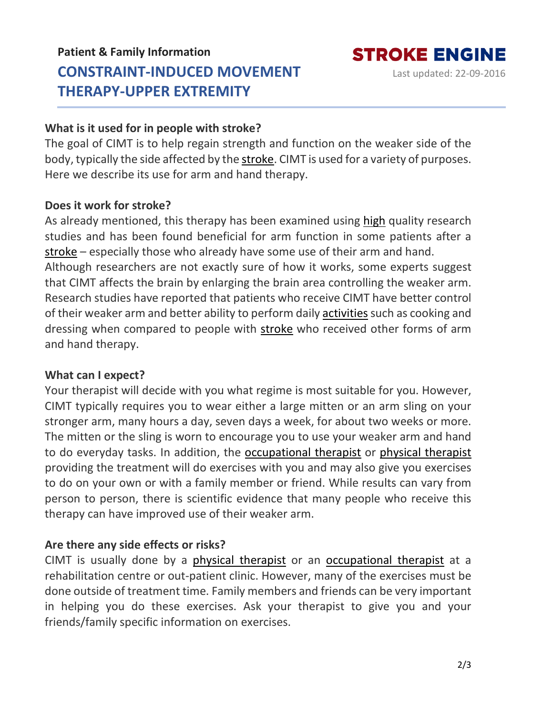# **Patient & Family Information CONSTRAINT-INDUCED MOVEMENT THERAPY-UPPER EXTREMITY**

**STROKE ENGINE** 

Last updated: 22-09-2016

# **What is it used for in people with stroke?**

The goal of CIMT is to help regain strength and function on the weaker side of the body, typically the side affected by the [stroke.](https://www.strokengine.ca/en/glossary/stroke/) CIMT is used for a variety of purposes. Here we describe its use for arm and hand therapy.

# **Does it work for stroke?**

As already mentioned, this therapy has been examined using [high](https://www.strokengine.ca/en/glossary/pedro-score/) quality research studies and has been found beneficial for arm function in some patients after a [stroke](https://www.strokengine.ca/en/glossary/stroke/) – especially those who already have some use of their arm and hand. Although researchers are not exactly sure of how it works, some experts suggest that CIMT affects the brain by enlarging the brain area controlling the weaker arm. Research studies have reported that patients who receive CIMT have better control of their weaker arm and better ability to perform daily [activities](https://www.strokengine.ca/en/glossary/activities/) such as cooking and dressing when compared to people with [stroke](https://www.strokengine.ca/en/glossary/stroke/) who received other forms of arm and hand therapy.

### **What can I expect?**

Your therapist will decide with you what regime is most suitable for you. However, CIMT typically requires you to wear either a large mitten or an arm sling on your stronger arm, many hours a day, seven days a week, for about two weeks or more. The mitten or the sling is worn to encourage you to use your weaker arm and hand to do everyday tasks. In addition, the [occupational](https://www.strokengine.ca/en/glossary/occupational-therapist/) therapist or physical [therapist](https://www.strokengine.ca/en/glossary/physical-therapist/) providing the treatment will do exercises with you and may also give you exercises to do on your own or with a family member or friend. While results can vary from person to person, there is scientific evidence that many people who receive this therapy can have improved use of their weaker arm.

# **Are there any side effects or risks?**

CIMT is usually done by a physical [therapist](https://www.strokengine.ca/en/glossary/physical-therapist/) or an [occupational](https://www.strokengine.ca/en/glossary/occupational-therapist/) therapist at a rehabilitation centre or out-patient clinic. However, many of the exercises must be done outside of treatment time. Family members and friends can be very important in helping you do these exercises. Ask your therapist to give you and your friends/family specific information on exercises.